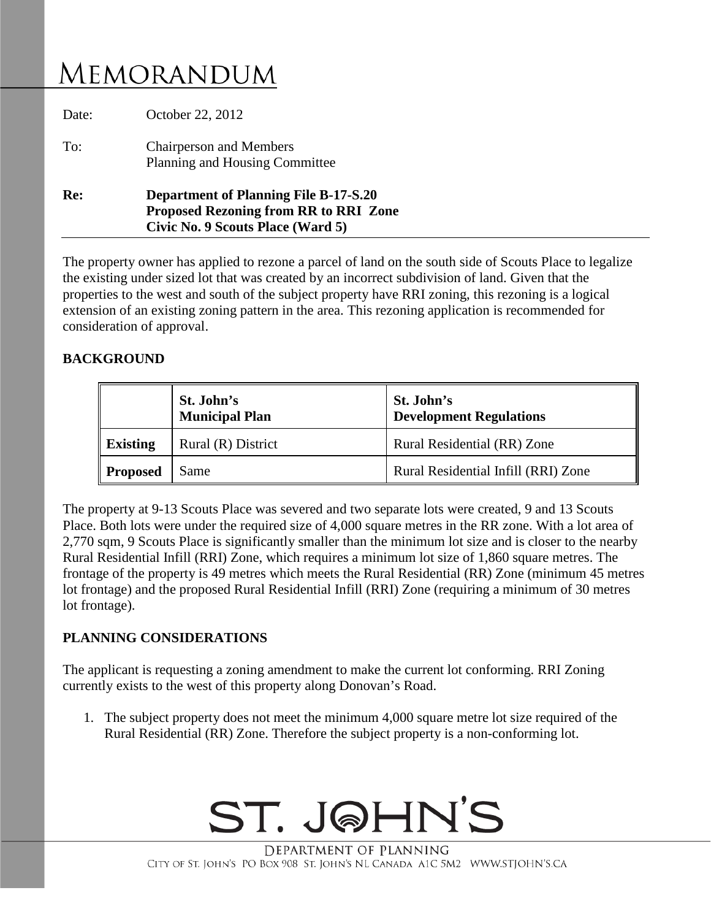## MEMORANDUM

| Re: | Planning and Housing Committee<br><b>Department of Planning File B-17-S.20</b><br><b>Proposed Rezoning from RR to RRI Zone</b> |  |
|-----|--------------------------------------------------------------------------------------------------------------------------------|--|
|     | Civic No. 9 Scouts Place (Ward 5)                                                                                              |  |

The property owner has applied to rezone a parcel of land on the south side of Scouts Place to legalize the existing under sized lot that was created by an incorrect subdivision of land. Given that the properties to the west and south of the subject property have RRI zoning, this rezoning is a logical extension of an existing zoning pattern in the area. This rezoning application is recommended for consideration of approval.

## **BACKGROUND**

|                 | St. John's<br><b>Municipal Plan</b> | St. John's<br><b>Development Regulations</b> |
|-----------------|-------------------------------------|----------------------------------------------|
| <b>Existing</b> | Rural (R) District                  | Rural Residential (RR) Zone                  |
| <b>Proposed</b> | Same                                | Rural Residential Infill (RRI) Zone          |

The property at 9-13 Scouts Place was severed and two separate lots were created, 9 and 13 Scouts Place. Both lots were under the required size of 4,000 square metres in the RR zone. With a lot area of 2,770 sqm, 9 Scouts Place is significantly smaller than the minimum lot size and is closer to the nearby Rural Residential Infill (RRI) Zone, which requires a minimum lot size of 1,860 square metres. The frontage of the property is 49 metres which meets the Rural Residential (RR) Zone (minimum 45 metres lot frontage) and the proposed Rural Residential Infill (RRI) Zone (requiring a minimum of 30 metres lot frontage).

## **PLANNING CONSIDERATIONS**

The applicant is requesting a zoning amendment to make the current lot conforming. RRI Zoning currently exists to the west of this property along Donovan's Road.

1. The subject property does not meet the minimum 4,000 square metre lot size required of the Rural Residential (RR) Zone. Therefore the subject property is a non-conforming lot.



DEPARTMENT OF PLANNING CITY OF ST. JOHN'S PO BOX 908 ST. JOHN'S NL CANADA A1C 5M2 WWW.STJOHN'S.CA